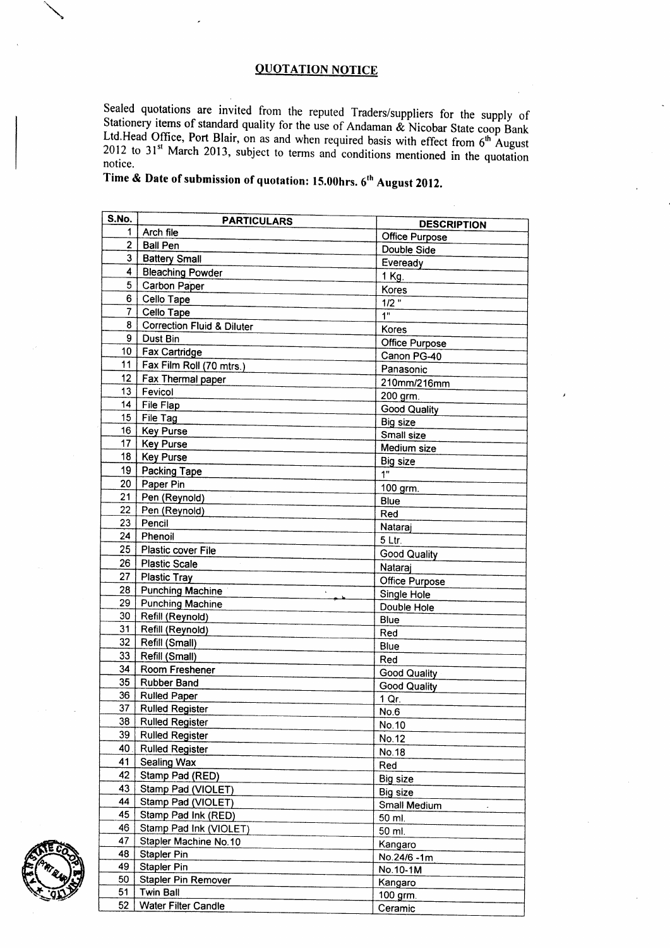## OUOTATION NOTICE

Sealed quotations are invited from the reputed Traders/suppliers for the supply of Stationery items of standard quality for the use of Andaman & Nicobar State coop Bank Ltd.Head Office, Port Blair, on as and when required notice.

## Time & Date of submission of quotation: 15.00hrs. 6<sup>th</sup> August 2012.

|  | S.No.           | <b>PARTICULARS</b>                    | <b>DESCRIPTION</b>    |
|--|-----------------|---------------------------------------|-----------------------|
|  | 1.              | Arch file                             | Office Purpose        |
|  | 2 <sup>1</sup>  | <b>Ball Pen</b>                       | Double Side           |
|  | 3 I             | <b>Battery Small</b>                  | Eveready              |
|  | 4               | <b>Bleaching Powder</b>               | 1 Kg.                 |
|  | 5               | Carbon Paper                          | Kores                 |
|  | 6               | Cello Tape                            | $1/2$ "               |
|  | 7 <sup>1</sup>  | Cello Tape                            | 1 <sup>n</sup>        |
|  | 8.              | <b>Correction Fluid &amp; Diluter</b> | Kores                 |
|  | 9               | Dust Bin                              | <b>Office Purpose</b> |
|  |                 | 10   Fax Cartridge                    | Canon PG-40           |
|  |                 | 11   Fax Film Roll (70 mtrs.)         | Panasonic             |
|  | 12 <sub>1</sub> | Fax Thermal paper                     | 210mm/216mm           |
|  | 13              | Fevicol                               | 200 grm.              |
|  | 14              | File Flap                             | <b>Good Quality</b>   |
|  | 15.             | File Tag                              | <b>Big size</b>       |
|  | 16              | Key Purse                             | Small size            |
|  | 17 <sup>1</sup> | <b>Key Purse</b>                      | Medium size           |
|  | 18              | Key Purse                             | Big size              |
|  | 19              | <b>Packing Tape</b>                   | 1"                    |
|  | ∶ 20            | Paper Pin                             | 100 grm.              |
|  | 21              | Pen (Reynold)                         | Blue                  |
|  | 22              | Pen (Reynold)                         | Red                   |
|  | 23 I            | Pencil                                | Nataraj               |
|  | 24 I            | Phenoil                               | 5 Ltr.                |
|  |                 | 25   Plastic cover File               | <b>Good Quality</b>   |
|  |                 | 26   Plastic Scale                    | Nataraj               |
|  |                 | 27   Plastic Tray                     | Office Purpose        |
|  |                 | 28   Punching Machine                 | Single Hole           |
|  |                 | 29   Punching Machine                 | Double Hole           |
|  |                 | 30 Refill (Reynold)                   | Blue                  |
|  |                 | 31   Refill (Reynold)                 | Red                   |
|  | 32 I            | Refill (Small)                        | Blue                  |
|  |                 | 33   Refill (Small)                   | Red                   |
|  |                 | 34   Room Freshener                   | <b>Good Quality</b>   |
|  |                 | 35   Rubber Band                      | <b>Good Quality</b>   |
|  |                 | 36   Rulled Paper                     | 1 Qr.                 |
|  |                 | 37   Rulled Register                  | No.6                  |
|  |                 | 38 Rulled Register                    | No.10                 |
|  |                 | 39 Rulled Register                    | No.12                 |
|  |                 | 40 Rulled Register                    | No.18                 |
|  | 41              | <b>Sealing Wax</b>                    | Red                   |
|  |                 | 42   Stamp Pad (RED)                  | <b>Big size</b>       |
|  | 43              | Stamp Pad (VIOLET)                    | <b>Big size</b>       |
|  | 44              | Stamp Pad (VIOLET)                    | Small Medium          |
|  | 45              | Stamp Pad Ink (RED)                   | 50 ml.                |
|  |                 | 46   Stamp Pad Ink (VIOLET)           | 50 ml.                |
|  | 47              | Stapler Machine No.10                 | Kangaro               |
|  | 48              | Stapler Pin                           | No.24/6-1m            |
|  | 49              | Stapler Pin                           | No.10-1M              |
|  | 50              | Stapler Pin Remover                   | Kangaro               |
|  | 51              | <b>Twin Ball</b>                      | 100 grm.              |
|  | 52              | <b>Water Filter Candle</b>            | Ceramic               |
|  |                 |                                       |                       |